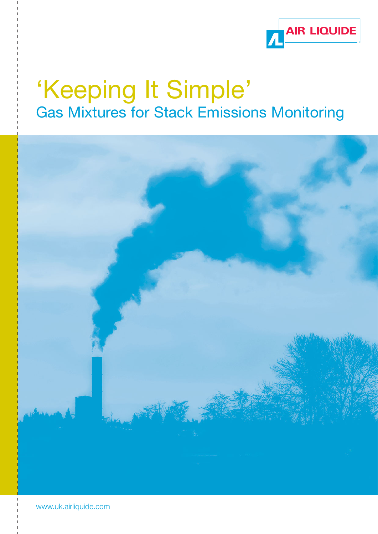

## 'Keeping It Simple' Gas Mixtures for Stack Emissions Monitoring



www.uk.airliquide.com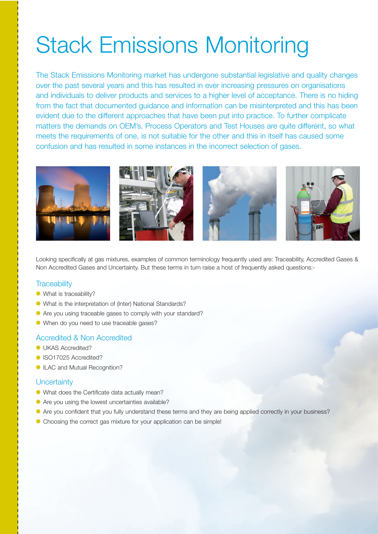# Stack Emissions Monitoring

The Stack Emissions Monitoring market has undergone substantial legislative and quality changes over the past several years and this has resulted in ever increasing pressures on organisations and individuals to deliver products and services to a higher level of acceptance. There is no hiding from the fact that documented guidance and information can be misinterpreted and this has been evident due to the different approaches that have been put into practice. To further complicate matters the demands on OEM's, Process Operators and Test Houses are quite different, so what meets the requirements of one, is not suitable for the other and this in itself has caused some confusion and has resulted in some instances in the incorrect selection of gases.



Looking specifically at gas mixtures, examples of common terminology frequently used are: Traceability, Accredited Gases & Non Accredited Gases and Uncertainty. But these terms in turn raise a host of frequently asked questions:-

#### **Traceability**

- What is traceability?
- What is the interpretation of (Inter) National Standards?
- Are you using traceable gases to comply with your standard?
- When do you need to use traceable gases?

#### Accredited & Non Accredited

- **OLIKAS Accredited?**
- ISO17025 Accredited?
- ILAC and Mutual Recognition?

#### **Uncertainty**

- What does the Certificate data actually mean?
- Are you using the lowest uncertainties available?
- Are you confident that you fully understand these terms and they are being applied correctly in your business?
- Choosing the correct gas mixture for your application can be simple!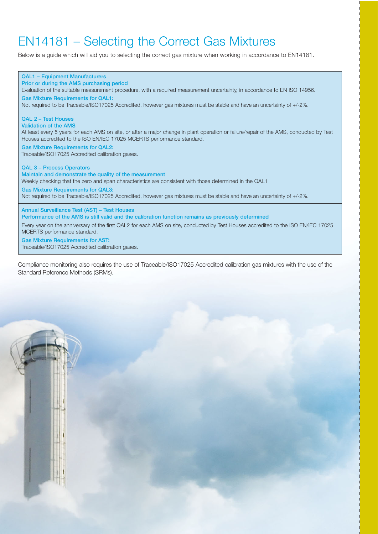### EN14181 – Selecting the Correct Gas Mixtures

Below is a guide which will aid you to selecting the correct gas mixture when working in accordance to EN14181.



Compliance monitoring also requires the use of Traceable/ISO17025 Accredited calibration gas mixtures with the use of the Standard Reference Methods (SRMs).

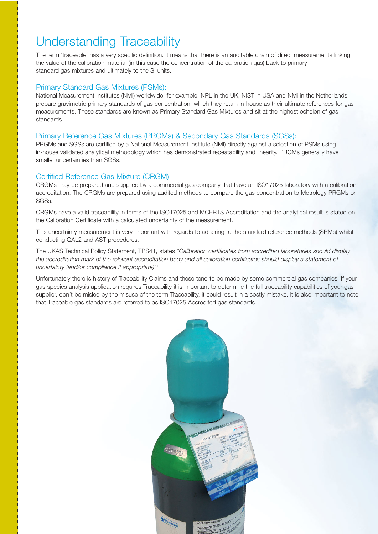### Understanding Traceability

The term 'traceable' has a very specific definition. It means that there is an auditable chain of direct measurements linking the value of the calibration material (in this case the concentration of the calibration gas) back to primary standard gas mixtures and ultimately to the SI units.

#### Primary Standard Gas Mixtures (PSMs):

National Measurement Institutes (NMI) worldwide, for example, NPL in the UK, NIST in USA and NMi in the Netherlands, prepare gravimetric primary standards of gas concentration, which they retain in-house as their ultimate references for gas measurements. These standards are known as Primary Standard Gas Mixtures and sit at the highest echelon of gas standards.

#### Primary Reference Gas Mixtures (PRGMs) & Secondary Gas Standards (SGSs):

PRGMs and SGSs are certified by a National Measurement Institute (NMI) directly against a selection of PSMs using in-house validated analytical methodology which has demonstrated repeatability and linearity. PRGMs generally have smaller uncertainties than SGSs.

#### Certified Reference Gas Mixture (CRGM):

CRGMs may be prepared and supplied by a commercial gas company that have an ISO17025 laboratory with a calibration accreditation. The CRGMs are prepared using audited methods to compare the gas concentration to Metrology PRGMs or SGSs.

CRGMs have a valid traceability in terms of the ISO17025 and MCERTS Accreditation and the analytical result is stated on the Calibration Certificate with a calculated uncertainty of the measurement.

This uncertainty measurement is very important with regards to adhering to the standard reference methods (SRMs) whilst conducting QAL2 and AST procedures.

The UKAS Technical Policy Statement, TPS41, states "Calibration certificates from accredited laboratories should display the accreditation mark of the relevant accreditation body and all calibration certificates should display a statement of uncertainty (and/or compliance if appropriate)"<sup>1</sup>

Unfortunately there is history of Traceability Claims and these tend to be made by some commercial gas companies. If your gas species analysis application requires Traceability it is important to determine the full traceability capabilities of your gas supplier, don't be misled by the misuse of the term Traceability, it could result in a costly mistake. It is also important to note that Traceable gas standards are referred to as ISO17025 Accredited gas standards.

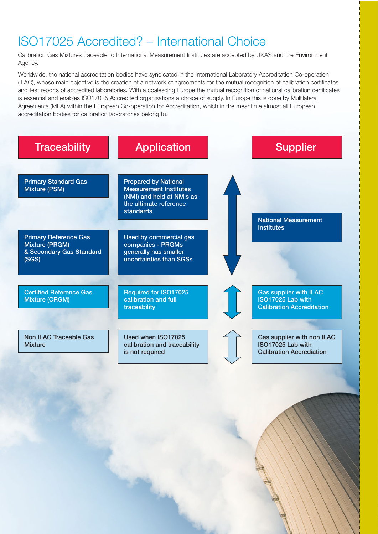### ISO17025 Accredited? – International Choice

Calibration Gas Mixtures traceable to International Measurement Institutes are accepted by UKAS and the Environment Agency.

Worldwide, the national accreditation bodies have syndicated in the International Laboratory Accreditation Co-operation (ILAC), whose main objective is the creation of a network of agreements for the mutual recognition of calibration certificates and test reports of accredited laboratories. With a coalescing Europe the mutual recognition of national calibration certificates is essential and enables ISO17025 Accredited organisations a choice of supply. In Europe this is done by Multilateral Agreements (MLA) within the European Co-operation for Accreditation, which in the meantime almost all European accreditation bodies for calibration laboratories belong to.

| <b>Traceability</b>                                                                 | <b>Application</b>                                                                                                                      | <b>Supplier</b>                                                                        |
|-------------------------------------------------------------------------------------|-----------------------------------------------------------------------------------------------------------------------------------------|----------------------------------------------------------------------------------------|
| <b>Primary Standard Gas</b><br><b>Mixture (PSM)</b>                                 | <b>Prepared by National</b><br><b>Measurement Institutes</b><br>(NMI) and held at NMis as<br>the ultimate reference<br><b>standards</b> | <b>National Measurement</b>                                                            |
| <b>Primary Reference Gas</b><br>Mixture (PRGM)<br>& Secondary Gas Standard<br>(SGS) | Used by commercial gas<br>companies - PRGMs<br>generally has smaller<br>uncertainties than SGSs                                         | <b>Institutes</b>                                                                      |
| <b>Certified Reference Gas</b><br>Mixture (CRGM)                                    | Required for ISO17025<br>calibration and full<br>traceability                                                                           | <b>Gas supplier with ILAC</b><br>ISO17025 Lab with<br><b>Calibration Accreditation</b> |
| <b>Non ILAC Traceable Gas</b><br><b>Mixture</b>                                     | Used when ISO17025<br>calibration and traceability<br>is not required                                                                   | Gas supplier with non ILAC<br>ISO17025 Lab with<br><b>Calibration Accrediation</b>     |
|                                                                                     |                                                                                                                                         |                                                                                        |
|                                                                                     |                                                                                                                                         |                                                                                        |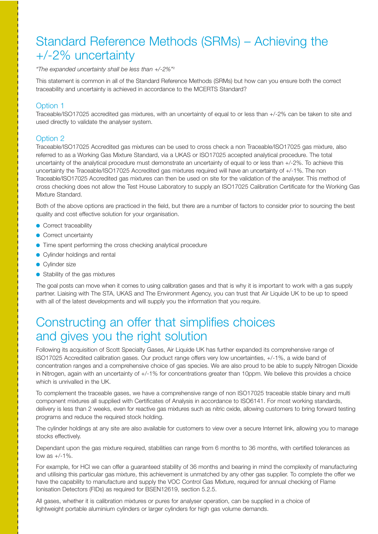### Standard Reference Methods (SRMs) – Achieving the +/-2% uncertainty

"The expanded uncertainty shall be less than +/-2%"<sup>2</sup>

This statement is common in all of the Standard Reference Methods (SRMs) but how can you ensure both the correct traceability and uncertainty is achieved in accordance to the MCERTS Standard?

#### Option 1

Traceable/ISO17025 accredited gas mixtures, with an uncertainty of equal to or less than +/-2% can be taken to site and used directly to validate the analyser system.

#### Option 2

Traceable/ISO17025 Accredited gas mixtures can be used to cross check a non Traceable/ISO17025 gas mixture, also referred to as a Working Gas Mixture Standard, via a UKAS or ISO17025 accepted analytical procedure. The total uncertainty of the analytical procedure must demonstrate an uncertainty of equal to or less than +/-2%. To achieve this uncertainty the Traceable/ISO17025 Accredited gas mixtures required will have an uncertainty of +/-1%. The non Traceable/ISO17025 Accredited gas mixtures can then be used on site for the validation of the analyser. This method of cross checking does not allow the Test House Laboratory to supply an ISO17025 Calibration Certificate for the Working Gas Mixture Standard.

Both of the above options are practiced in the field, but there are a number of factors to consider prior to sourcing the best quality and cost effective solution for your organisation.

- Correct traceability
- Correct uncertainty
- Time spent performing the cross checking analytical procedure
- Cylinder holdings and rental
- Cylinder size
- Stability of the gas mixtures

The goal posts can move when it comes to using calibration gases and that is why it is important to work with a gas supply partner. Liaising with The STA, UKAS and The Environment Agency, you can trust that Air Liquide UK to be up to speed with all of the latest developments and will supply you the information that you require.

### Constructing an offer that simplifies choices and gives you the right solution

Following its acquisition of Scott Specialty Gases, Air Liquide UK has further expanded its comprehensive range of ISO17025 Accredited calibration gases. Our product range offers very low uncertainties, +/-1%, a wide band of concentration ranges and a comprehensive choice of gas species. We are also proud to be able to supply Nitrogen Dioxide in Nitrogen, again with an uncertainty of +/-1% for concentrations greater than 10ppm. We believe this provides a choice which is unrivalled in the UK.

To complement the traceable gases, we have a comprehensive range of non ISO17025 traceable stable binary and multi component mixtures all supplied with Certificates of Analysis in accordance to ISO6141. For most working standards, delivery is less than 2 weeks, even for reactive gas mixtures such as nitric oxide, allowing customers to bring forward testing programs and reduce the required stock holding.

The cylinder holdings at any site are also available for customers to view over a secure Internet link, allowing you to manage stocks effectively.

Dependant upon the gas mixture required, stabilities can range from 6 months to 36 months, with certified tolerances as low as  $+/-1\%$ .

For example, for HCl we can offer a guaranteed stability of 36 months and bearing in mind the complexity of manufacturing and utilising this particular gas mixture, this achievement is unmatched by any other gas supplier. To complete the offer we have the capability to manufacture and supply the VOC Control Gas Mixture, required for annual checking of Flame Ionisation Detectors (FIDs) as required for BSEN12619, section 5.2.5.

All gases, whether it is calibration mixtures or pures for analyser operation, can be supplied in a choice of lightweight portable aluminium cylinders or larger cylinders for high gas volume demands.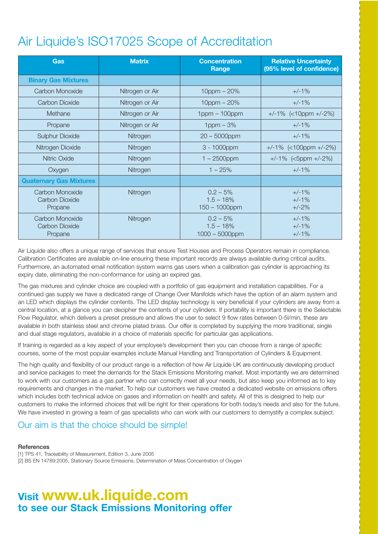## Air Liquide's ISO17025 Scope of Accreditation

| <b>Gas</b>                                   | <b>Matrix</b>   | <b>Concentration</b><br>Range                  | <b>Relative Uncertainty</b><br>(95% level of confidence) |
|----------------------------------------------|-----------------|------------------------------------------------|----------------------------------------------------------|
| <b>Binary Gas Mixtures</b>                   |                 |                                                |                                                          |
| Carbon Monoxide                              | Nitrogen or Air | $10$ ppm $- 20%$                               | $+/-1\%$                                                 |
| Carbon Dioxide                               | Nitrogen or Air | $10$ ppm $- 20%$                               | $+/-1\%$                                                 |
| Methane                                      | Nitrogen or Air | $1$ ppm $-100$ ppm                             | $+/-1\%$ (<10ppm $+/-2\%$ )                              |
| Propane                                      | Nitrogen or Air | $1$ ppm $-3%$                                  | $+/-1%$                                                  |
| <b>Sulphur Dioxide</b>                       | Nitrogen        | $20 - 5000$ ppm                                | $+/-1%$                                                  |
| Nitrogen Dioxide                             | Nitrogen        | 3 - 1000ppm                                    | $+/-1\%$ (<100ppm $+/-2\%$ )                             |
| <b>Nitric Oxide</b>                          | Nitrogen        | $1 - 2500$ ppm                                 | $+/-1\%$ (<5ppm $+/-2\%$ )                               |
| Oxygen                                       | Nitrogen        | $1 - 25%$                                      | $+/-1%$                                                  |
| <b>Quaternary Gas Mixtures</b>               |                 |                                                |                                                          |
| Carbon Monoxide<br>Carbon Dioxide<br>Propane | Nitrogen        | $0.2 - 5%$<br>$1.5 - 18%$<br>$150 - 1000$ ppm  | $+/-1%$<br>$+/-1%$<br>$+/-2%$                            |
| Carbon Monoxide<br>Carbon Dioxide<br>Propane | Nitrogen        | $0.2 - 5%$<br>$1.5 - 18%$<br>$1000 - 5000$ ppm | $+/-1%$<br>$+/-1%$<br>$+/-1%$                            |

Air Liquide also offers a unique range of services that ensure Test Houses and Process Operators remain in compliance. Calibration Certificates are available on-line ensuring these important records are always available during critical audits. Furthermore, an automated email notification system warns gas users when a calibration gas cylinder is approaching its expiry date, eliminating the non-conformance for using an expired gas.

The gas mixtures and cylinder choice are coupled with a portfolio of gas equipment and installation capabilities. For a continued gas supply we have a dedicated range of Change Over Manifolds which have the option of an alarm system and an LED which displays the cylinder contents. The LED display technology is very beneficial if your cylinders are away from a central location, at a glance you can decipher the contents of your cylinders. If portability is important there is the Selectable Flow Regulator, which delivers a preset pressure and allows the user to select 9 flow rates between 0-5l/min, these are available in both stainless steel and chrome plated brass. Our offer is completed by supplying the more traditional, single and dual stage regulators, available in a choice of materials specific for particular gas applications.

If training is regarded as a key aspect of your employee's development then you can choose from a range of specific courses, some of the most popular examples include Manual Handling and Transportation of Cylinders & Equipment.

The high quality and flexibility of our product range is a reflection of how Air Liquide UK are continuously developing product and service packages to meet the demands for the Stack Emissions Monitoring market. Most importantly we are determined to work with our customers as a gas partner who can correctly meet all your needs, but also keep you informed as to key requirements and changes in the market. To help our customers we have created a dedicated website on emissions offers which includes both technical advice on gases and information on health and safety. All of this is designed to help our customers to make the informed choices that will be right for their operations for both today's needs and also for the future. We have invested in growing a team of gas specialists who can work with our customers to demystify a complex subject.

#### Our aim is that the choice should be simple!

**References** 

[1] TPS 41, Traceability of Measurement, Edition 3, June 2005 [2] BS EN 14789:2005, Stationary Source Emissions, Determination of Mass Concentration of Oxygen

### **Visit www.uk.liquide.com to see our Stack Emissions Monitoring offer**